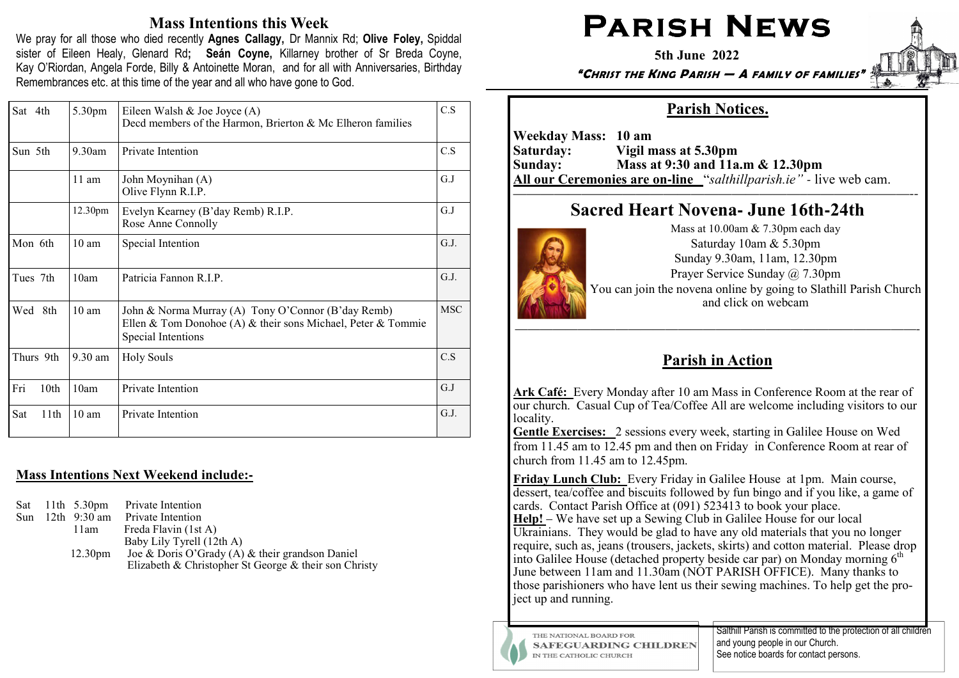# Mass Intentions this Week

We pray for all those who died recently Agnes Callagy, Dr Mannix Rd; Olive Foley, Spiddal sister of Eileen Healy, Glenard Rd; Seán Coyne, Killarney brother of Sr Breda Coyne, Kay O'Riordan, Angela Forde, Billy & Antoinette Moran, and for all with Anniversaries, Birthday Remembrances etc. at this time of the year and all who have gone to God.

| Sat 4th                     | 5.30pm              | Eileen Walsh & Joe Joyce (A)<br>Decd members of the Harmon, Brierton & Mc Elheron families                                               | C.S        |
|-----------------------------|---------------------|------------------------------------------------------------------------------------------------------------------------------------------|------------|
| Sun 5th                     | 9.30am              | Private Intention                                                                                                                        | C.S        |
|                             | $11$ am             | John Moynihan (A)<br>Olive Flynn R.I.P.                                                                                                  | G.J        |
|                             | 12.30 <sub>pm</sub> | Evelyn Kearney (B'day Remb) R.I.P.<br>Rose Anne Connolly                                                                                 | G.J        |
| Mon 6th                     | 10 <sub>am</sub>    | Special Intention                                                                                                                        |            |
| Tues 7th                    | 10am                | Patricia Fannon R.I.P.                                                                                                                   |            |
| Wed 8th<br>10 <sub>am</sub> |                     | John & Norma Murray (A) Tony O'Connor (B'day Remb)<br>Ellen & Tom Donohoe (A) & their sons Michael, Peter & Tommie<br>Special Intentions | <b>MSC</b> |
| Thurs 9th                   | 9.30 am             | <b>Holy Souls</b>                                                                                                                        | C.S        |
| Fri<br>10th                 | 10am                | Private Intention                                                                                                                        | G.J        |
| Sat<br>11th                 | $10 \text{ am}$     | Private Intention                                                                                                                        | G.J.       |

## Mass Intentions Next Weekend include:**-**

|  |                     | Sat 11th 5.30pm Private Intention                     |
|--|---------------------|-------------------------------------------------------|
|  |                     | Sun 12th 9:30 am Private Intention                    |
|  | 11am                | Freda Flavin (1st A)                                  |
|  |                     | Baby Lily Tyrell (12th A)                             |
|  | 12.30 <sub>pm</sub> | Joe & Doris O'Grady (A) & their grandson Daniel       |
|  |                     | Elizabeth & Christopher St George & their son Christy |

# PARISH NEWS

5th June 2022

"CHRIST THE KING PARISH — A FAMILY OF FAMILIES"

# Parish Notices.

Weekday Mass: 10 am<br>Saturday: Vigil n Saturday: Vigil mass at 5.30pm Sunday: Mass at 9:30 and 11a.m & 12.30pm All our Ceremonies are on**-**line "salthillparish.ie" *-* live web cam.

#### —————————————————————–————–———--Sacred Heart Novena**-** June 16th**-**24th



Mass at 10.00am & 7.30pm each day Saturday 10am & 5.30pm Sunday 9.30am, 11am, 12.30pm Prayer Service Sunday @ 7.30pm You can join the novena online by going to Slathill Parish Church and click on webcam

# Parish in Action

Ark Café: Every Monday after 10 am Mass in Conference Room at the rear of our church. Casual Cup of Tea/Coffee All are welcome including visitors to our locality.

Gentle Exercises: 2 sessions every week, starting in Galilee House on Wed from 11.45 am to 12.45 pm and then on Friday in Conference Room at rear of church from 11.45 am to 12.45pm.

Friday Lunch Club: Every Friday in Galilee House at 1pm. Main course, dessert, tea/coffee and biscuits followed by fun bingo and if you like, a game of cards. Contact Parish Office at (091) 523413 to book your place. Help! – We have set up a Sewing Club in Galilee House for our local Ukrainians. They would be glad to have any old materials that you no longer require, such as, jeans (trousers, jackets, skirts) and cotton material. Please drop into Galilee House (detached property beside car par) on Monday morning 6<sup>th</sup> June between 11am and 11.30am (NOT PARISH OFFICE). Many thanks to those parishioners who have lent us their sewing machines. To help get the project up and running.



THE NATIONAL BOARD FOR **SAFEGUARDING CHILDREN** IN THE CATHOLIC CHURCH

Salthill Parish is committed to the protection of all children and young people in our Church. See notice boards for contact persons.